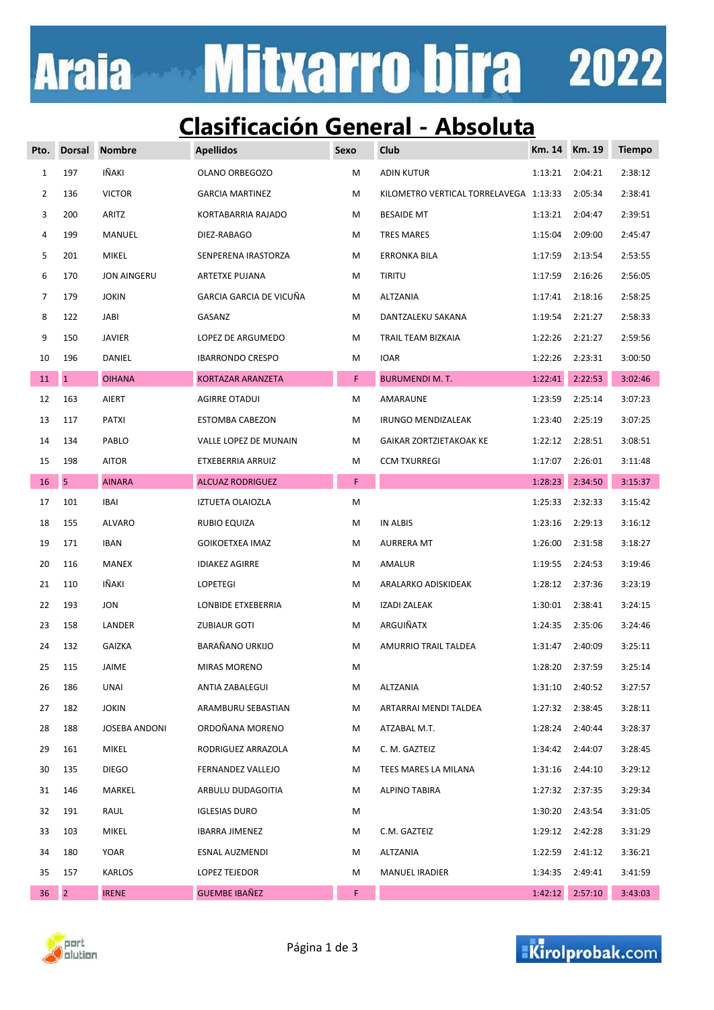# **Mitxarro bira** 2022 **Araia**

### **Clasificación General - Absoluta**

| Pto.           | <b>Dorsal</b>  | <b>Nombre</b>      | <b>Apellidos</b>         | Sexo | Club                                   | Km. 14  | <b>Km. 19</b> | <b>Tiempo</b> |
|----------------|----------------|--------------------|--------------------------|------|----------------------------------------|---------|---------------|---------------|
| $\mathbf{1}$   | 197            | IÑAKI              | OLANO ORBEGOZO           | М    | <b>ADIN KUTUR</b>                      | 1:13:21 | 2:04:21       | 2:38:12       |
| $\overline{2}$ | 136            | <b>VICTOR</b>      | <b>GARCIA MARTINEZ</b>   | М    | KILOMETRO VERTICAL TORRELAVEGA 1:13:33 |         | 2:05:34       | 2:38:41       |
| 3              | 200            | ARITZ              | KORTABARRIA RAJADO       | м    | <b>BESAIDE MT</b>                      | 1:13:21 | 2:04:47       | 2:39:51       |
| 4              | 199            | MANUEL             | DIEZ-RABAGO              | М    | <b>TRES MARES</b>                      | 1:15:04 | 2:09:00       | 2:45:47       |
| 5              | 201            | <b>MIKEL</b>       | SENPERENA IRASTORZA      | М    | ERRONKA BILA                           | 1:17:59 | 2:13:54       | 2:53:55       |
| 6              | 170            | <b>JON AINGERU</b> | <b>ARTETXE PUJANA</b>    | М    | <b>TIRITU</b>                          | 1:17:59 | 2:16:26       | 2:56:05       |
| 7              | 179            | <b>JOKIN</b>       | GARCIA GARCIA DE VICUÑA  | М    | ALTZANIA                               | 1:17:41 | 2:18:16       | 2:58:25       |
| 8              | 122            | <b>JABI</b>        | GASANZ                   | м    | DANTZALEKU SAKANA                      | 1:19:54 | 2:21:27       | 2:58:33       |
| 9              | 150            | <b>JAVIER</b>      | LOPEZ DE ARGUMEDO        | м    | TRAIL TEAM BIZKAIA                     | 1:22:26 | 2:21:27       | 2:59:56       |
| 10             | 196            | DANIEL             | <b>IBARRONDO CRESPO</b>  | М    | <b>IOAR</b>                            | 1:22:26 | 2:23:31       | 3:00:50       |
| 11             | $\mathbf{1}$   | <b>OIHANA</b>      | <b>KORTAZAR ARANZETA</b> | F.   | <b>BURUMENDI M. T.</b>                 | 1:22:41 | 2:22:53       | 3:02:46       |
| 12             | 163            | AIERT              | <b>AGIRRE OTADUI</b>     | М    | AMARAUNE                               | 1:23:59 | 2:25:14       | 3:07:23       |
| 13             | 117            | PATXI              | <b>ESTOMBA CABEZON</b>   | М    | <b>IRUNGO MENDIZALEAK</b>              | 1:23:40 | 2:25:19       | 3:07:25       |
| 14             | 134            | PABLO              | VALLE LOPEZ DE MUNAIN    | М    | GAIKAR ZORTZIETAKOAK KE                | 1:22:12 | 2:28:51       | 3:08:51       |
| 15             | 198            | <b>AITOR</b>       | ETXEBERRIA ARRUIZ        | М    | <b>CCM TXURREGI</b>                    | 1:17:07 | 2:26:01       | 3:11:48       |
| $16\,$         | 5              | <b>AINARA</b>      | <b>ALCUAZ RODRIGUEZ</b>  | F    |                                        | 1:28:23 | 2:34:50       | 3:15:37       |
| 17             | 101            | <b>IBAI</b>        | IZTUETA OLAIOZLA         | M    |                                        | 1:25:33 | 2:32:33       | 3:15:42       |
| 18             | 155            | <b>ALVARO</b>      | RUBIO EQUIZA             | М    | IN ALBIS                               | 1:23:16 | 2:29:13       | 3:16:12       |
| 19             | 171            | <b>IBAN</b>        | <b>GOIKOETXEA IMAZ</b>   | М    | <b>AURRERA MT</b>                      | 1:26:00 | 2:31:58       | 3:18:27       |
| 20             | 116            | MANEX              | <b>IDIAKEZ AGIRRE</b>    | М    | AMALUR                                 | 1:19:55 | 2:24:53       | 3:19:46       |
| 21             | 110            | IÑAKI              | LOPETEGI                 | М    | ARALARKO ADISKIDEAK                    | 1:28:12 | 2:37:36       | 3:23:19       |
| 22             | 193            | <b>JON</b>         | LONBIDE ETXEBERRIA       | м    | <b>IZADI ZALEAK</b>                    | 1:30:01 | 2:38:41       | 3:24:15       |
| 23             | 158            | LANDER             | <b>ZUBIAUR GOTI</b>      | м    | ARGUIÑATX                              | 1:24:35 | 2:35:06       | 3:24:46       |
| 24             | 132            | <b>GAIZKA</b>      | BARAÑANO URKIJO          | м    | AMURRIO TRAIL TALDEA                   | 1:31:47 | 2:40:09       | 3:25:11       |
| 25             | 115            | <b>JAIME</b>       | <b>MIRAS MORENO</b>      | М    |                                        | 1:28:20 | 2:37:59       | 3:25:14       |
| 26             | 186            | UNAI               | ANTIA ZABALEGUI          | M    | ALTZANIA                               | 1:31:10 | 2:40:52       | 3:27:57       |
| 27             | 182            | <b>JOKIN</b>       | ARAMBURU SEBASTIAN       | M    | ARTARRAI MENDI TALDEA                  | 1:27:32 | 2:38:45       | 3:28:11       |
| 28             | 188            | JOSEBA ANDONI      | ORDOÑANA MORENO          | М    | ATZABAL M.T.                           | 1:28:24 | 2:40:44       | 3:28:37       |
| 29             | 161            | MIKEL              | RODRIGUEZ ARRAZOLA       | М    | C. M. GAZTEIZ                          | 1:34:42 | 2:44:07       | 3:28:45       |
| 30             | 135            | <b>DIEGO</b>       | FERNANDEZ VALLEJO        | М    | TEES MARES LA MILANA                   | 1:31:16 | 2:44:10       | 3:29:12       |
| 31             | 146            | MARKEL             | ARBULU DUDAGOITIA        | М    | <b>ALPINO TABIRA</b>                   | 1:27:32 | 2:37:35       | 3:29:34       |
| 32             | 191            | RAUL               | <b>IGLESIAS DURO</b>     | М    |                                        | 1:30:20 | 2:43:54       | 3:31:05       |
| 33             | 103            | MIKEL              | IBARRA JIMENEZ           | M    | C.M. GAZTEIZ                           | 1:29:12 | 2:42:28       | 3:31:29       |
| 34             | 180            | YOAR               | ESNAL AUZMENDI           | M    | ALTZANIA                               | 1:22:59 | 2:41:12       | 3:36:21       |
| 35             | 157            | KARLOS             | LOPEZ TEJEDOR            | M    | <b>MANUEL IRADIER</b>                  | 1:34:35 | 2:49:41       | 3:41:59       |
| 36             | $\overline{2}$ | <b>IRENE</b>       | <b>GUEMBE IBAÑEZ</b>     | F.   |                                        | 1:42:12 | 2:57:10       | 3:43:03       |



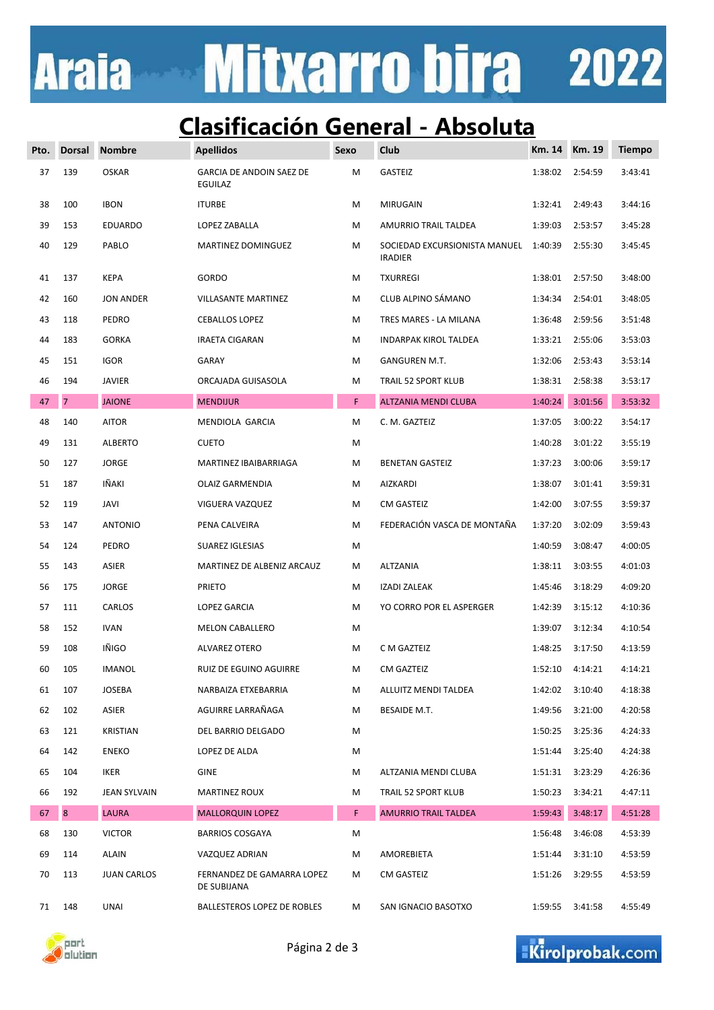# Mitxarro bira 2022 **Araia**

### **Clasificación General - Absoluta**

| Pto. | <b>Dorsal</b>  | <b>Nombre</b>       | <b>Apellidos</b>                           | Sexo | Club                                            | Km. 14  | <b>Km. 19</b> | <b>Tiempo</b> |
|------|----------------|---------------------|--------------------------------------------|------|-------------------------------------------------|---------|---------------|---------------|
| 37   | 139            | <b>OSKAR</b>        | <b>GARCIA DE ANDOIN SAEZ DE</b><br>EGUILAZ | М    | <b>GASTEIZ</b>                                  | 1:38:02 | 2:54:59       | 3:43:41       |
| 38   | 100            | <b>IBON</b>         | <b>ITURBE</b>                              | М    | <b>MIRUGAIN</b>                                 | 1:32:41 | 2:49:43       | 3:44:16       |
| 39   | 153            | <b>EDUARDO</b>      | LOPEZ ZABALLA                              | М    | AMURRIO TRAIL TALDEA                            | 1:39:03 | 2:53:57       | 3:45:28       |
| 40   | 129            | PABLO               | MARTINEZ DOMINGUEZ                         | М    | SOCIEDAD EXCURSIONISTA MANUEL<br><b>IRADIER</b> | 1:40:39 | 2:55:30       | 3:45:45       |
| 41   | 137            | <b>KEPA</b>         | GORDO                                      | М    | <b>TXURREGI</b>                                 | 1:38:01 | 2:57:50       | 3:48:00       |
| 42   | 160            | <b>JON ANDER</b>    | <b>VILLASANTE MARTINEZ</b>                 | М    | CLUB ALPINO SÁMANO                              | 1:34:34 | 2:54:01       | 3:48:05       |
| 43   | 118            | PEDRO               | <b>CEBALLOS LOPEZ</b>                      | М    | TRES MARES - LA MILANA                          | 1:36:48 | 2:59:56       | 3:51:48       |
| 44   | 183            | <b>GORKA</b>        | <b>IRAETA CIGARAN</b>                      | М    | INDARPAK KIROL TALDEA                           | 1:33:21 | 2:55:06       | 3:53:03       |
| 45   | 151            | <b>IGOR</b>         | GARAY                                      | М    | GANGUREN M.T.                                   | 1:32:06 | 2:53:43       | 3:53:14       |
| 46   | 194            | <b>JAVIER</b>       | ORCAJADA GUISASOLA                         | М    | TRAIL 52 SPORT KLUB                             | 1:38:31 | 2:58:38       | 3:53:17       |
| 47   | $\overline{7}$ | <b>JAIONE</b>       | <b>MENDIJUR</b>                            | F.   | ALTZANIA MENDI CLUBA                            | 1:40:24 | 3:01:56       | 3:53:32       |
| 48   | 140            | <b>AITOR</b>        | MENDIOLA GARCIA                            | М    | C. M. GAZTEIZ                                   | 1:37:05 | 3:00:22       | 3:54:17       |
| 49   | 131            | <b>ALBERTO</b>      | <b>CUETO</b>                               | М    |                                                 | 1:40:28 | 3:01:22       | 3:55:19       |
| 50   | 127            | <b>JORGE</b>        | MARTINEZ IBAIBARRIAGA                      | М    | <b>BENETAN GASTEIZ</b>                          | 1:37:23 | 3:00:06       | 3:59:17       |
| 51   | 187            | IÑAKI               | OLAIZ GARMENDIA                            | М    | AIZKARDI                                        | 1:38:07 | 3:01:41       | 3:59:31       |
| 52   | 119            | JAVI                | VIGUERA VAZQUEZ                            | М    | <b>CM GASTEIZ</b>                               | 1:42:00 | 3:07:55       | 3:59:37       |
| 53   | 147            | <b>ANTONIO</b>      | PENA CALVEIRA                              | М    | FEDERACIÓN VASCA DE MONTAÑA                     | 1:37:20 | 3:02:09       | 3:59:43       |
| 54   | 124            | PEDRO               | SUAREZ IGLESIAS                            | М    |                                                 | 1:40:59 | 3:08:47       | 4:00:05       |
| 55   | 143            | ASIER               | MARTINEZ DE ALBENIZ ARCAUZ                 | м    | ALTZANIA                                        | 1:38:11 | 3:03:55       | 4:01:03       |
| 56   | 175            | <b>JORGE</b>        | <b>PRIETO</b>                              | М    | <b>IZADI ZALEAK</b>                             | 1:45:46 | 3:18:29       | 4:09:20       |
| 57   | 111            | CARLOS              | LOPEZ GARCIA                               | М    | YO CORRO POR EL ASPERGER                        | 1:42:39 | 3:15:12       | 4:10:36       |
| 58   | 152            | <b>IVAN</b>         | <b>MELON CABALLERO</b>                     | М    |                                                 | 1:39:07 | 3:12:34       | 4:10:54       |
| 59   | 108            | IÑIGO               | <b>ALVAREZ OTERO</b>                       | м    | C M GAZTEIZ                                     | 1:48:25 | 3:17:50       | 4:13:59       |
| 60   | 105            | <b>IMANOL</b>       | RUIZ DE EGUINO AGUIRRE                     | м    | CM GAZTEIZ                                      | 1:52:10 | 4:14:21       | 4:14:21       |
| 61   | 107            | <b>JOSEBA</b>       | NARBAIZA ETXEBARRIA                        | м    | ALLUITZ MENDI TALDEA                            | 1:42:02 | 3:10:40       | 4:18:38       |
| 62   | 102            | ASIER               | AGUIRRE LARRAÑAGA                          | М    | BESAIDE M.T.                                    | 1:49:56 | 3:21:00       | 4:20:58       |
| 63   | 121            | KRISTIAN            | DEL BARRIO DELGADO                         | М    |                                                 | 1:50:25 | 3:25:36       | 4:24:33       |
| 64   | 142            | <b>ENEKO</b>        | LOPEZ DE ALDA                              | м    |                                                 | 1:51:44 | 3:25:40       | 4:24:38       |
| 65   | 104            | IKER                | <b>GINE</b>                                | М    | ALTZANIA MENDI CLUBA                            | 1:51:31 | 3:23:29       | 4:26:36       |
| 66   | 192            | <b>JEAN SYLVAIN</b> | <b>MARTINEZ ROUX</b>                       | М    | TRAIL 52 SPORT KLUB                             | 1:50:23 | 3:34:21       | 4:47:11       |
| 67   | 8 <sup>°</sup> | <b>LAURA</b>        | <b>MALLORQUIN LOPEZ</b>                    | F.   | <b>AMURRIO TRAIL TALDEA</b>                     | 1:59:43 | 3:48:17       | 4:51:28       |
| 68   | 130            | <b>VICTOR</b>       | <b>BARRIOS COSGAYA</b>                     | М    |                                                 | 1:56:48 | 3:46:08       | 4:53:39       |
| 69   | 114            | <b>ALAIN</b>        | VAZQUEZ ADRIAN                             | М    | AMOREBIETA                                      | 1:51:44 | 3:31:10       | 4:53:59       |
| 70   | 113            | <b>JUAN CARLOS</b>  | FERNANDEZ DE GAMARRA LOPEZ<br>DE SUBIJANA  | м    | CM GASTEIZ                                      | 1:51:26 | 3:29:55       | 4:53:59       |
| 71   | 148            | <b>UNAI</b>         | <b>BALLESTEROS LOPEZ DE ROBLES</b>         | M    | SAN IGNACIO BASOTXO                             | 1:59:55 | 3:41:58       | 4:55:49       |